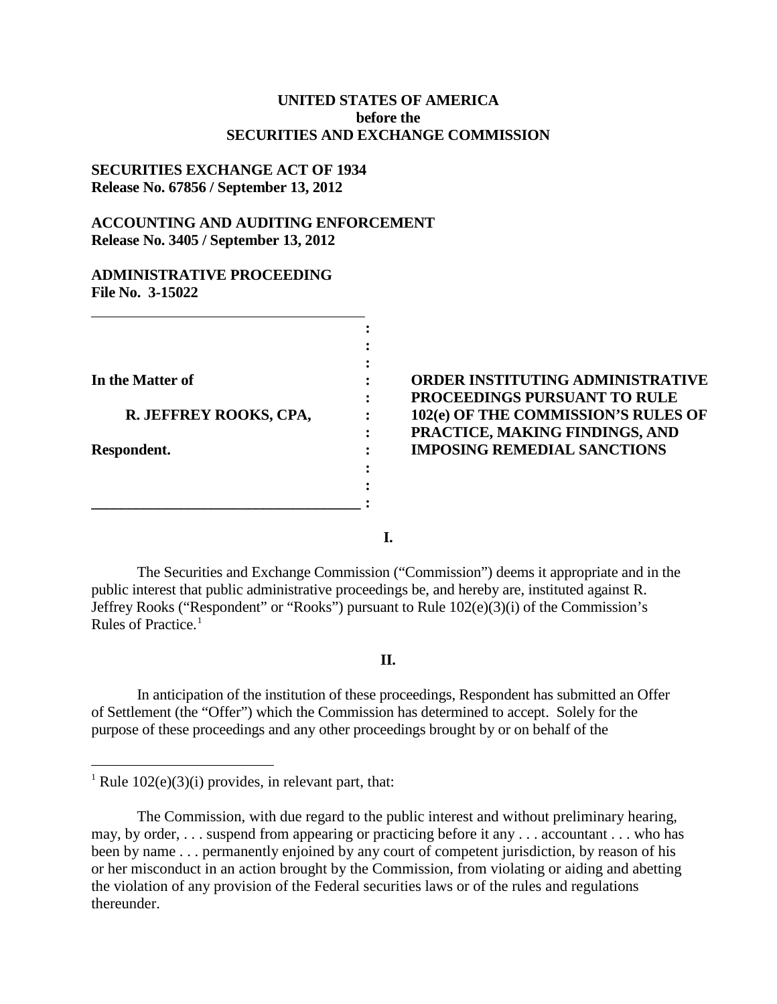# **UNITED STATES OF AMERICA before the SECURITIES AND EXCHANGE COMMISSION**

# **SECURITIES EXCHANGE ACT OF 1934 Release No. 67856 / September 13, 2012**

# **ACCOUNTING AND AUDITING ENFORCEMENT Release No. 3405 / September 13, 2012**

## **ADMINISTRATIVE PROCEEDING File No. 3-15022**

# **In the Matter of : ORDER INSTITUTING ADMINISTRATIVE : PROCEEDINGS PURSUANT TO RULE REV. 102(e) OF THE COMMISSION'S RULES OF : PRACTICE, MAKING FINDINGS, AND IMPOSING REMEDIAL SANCTIONS**

**I.**

**:**

The Securities and Exchange Commission ("Commission") deems it appropriate and in the public interest that public administrative proceedings be, and hereby are, instituted against R. Jeffrey Rooks ("Respondent" or "Rooks") pursuant to Rule 102(e)(3)(i) of the Commission's Rules of Practice.<sup>[1](#page-0-0)</sup>

### **II.**

In anticipation of the institution of these proceedings, Respondent has submitted an Offer of Settlement (the "Offer") which the Commission has determined to accept. Solely for the purpose of these proceedings and any other proceedings brought by or on behalf of the

<span id="page-0-0"></span><sup>&</sup>lt;sup>1</sup> Rule  $102(e)(3)(i)$  provides, in relevant part, that:

The Commission, with due regard to the public interest and without preliminary hearing, may, by order, . . . suspend from appearing or practicing before it any . . . accountant . . . who has been by name . . . permanently enjoined by any court of competent jurisdiction, by reason of his or her misconduct in an action brought by the Commission, from violating or aiding and abetting the violation of any provision of the Federal securities laws or of the rules and regulations thereunder.